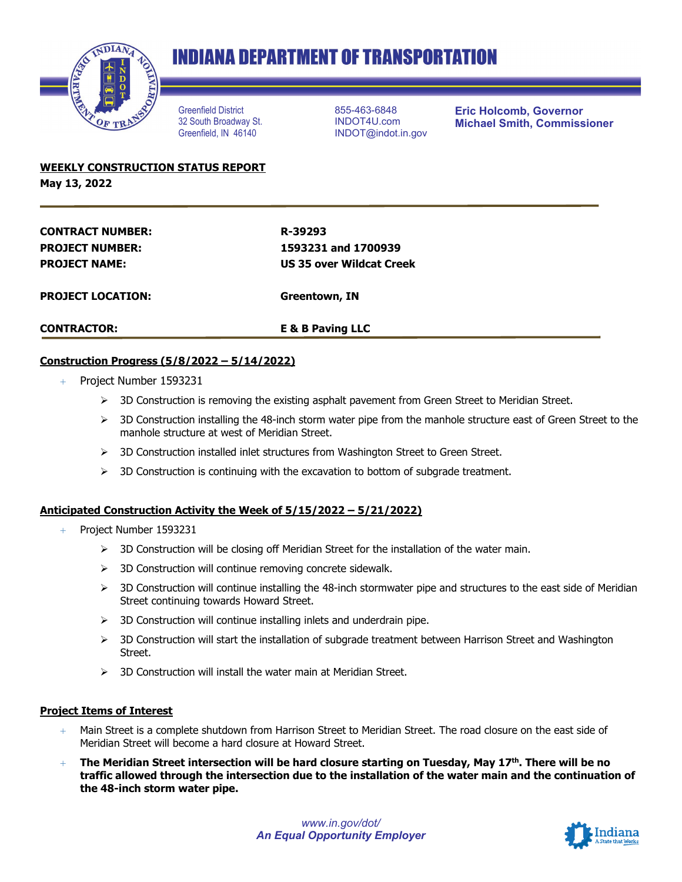

# **INDIANA DEPARTMENT OF TRANSPORTATION**

Greenfield District 32 South Broadway St. Greenfield, IN 46140

855-463-6848 INDOT4U.com INDOT@indot.in.gov **Eric Holcomb, Governor Michael Smith, Commissioner**

**WEEKLY CONSTRUCTION STATUS REPORT May 13, 2022**

| <b>CONTRACTOR:</b>       | <b>E &amp; B Paving LLC</b> |
|--------------------------|-----------------------------|
| <b>PROJECT LOCATION:</b> | Greentown, IN               |
| <b>PROJECT NAME:</b>     | US 35 over Wildcat Creek    |
| <b>PROJECT NUMBER:</b>   | 1593231 and 1700939         |
| <b>CONTRACT NUMBER:</b>  | R-39293                     |
|                          |                             |

### **Construction Progress (5/8/2022 – 5/14/2022)**

- + Project Number 1593231
	- $\triangleright$  3D Construction is removing the existing asphalt pavement from Green Street to Meridian Street.
	- $>$  3D Construction installing the 48-inch storm water pipe from the manhole structure east of Green Street to the manhole structure at west of Meridian Street.
	- $>$  3D Construction installed inlet structures from Washington Street to Green Street.
	- $>$  3D Construction is continuing with the excavation to bottom of subgrade treatment.

#### **Anticipated Construction Activity the Week of 5/15/2022 – 5/21/2022)**

- Project Number 1593231
	- $\geq$  3D Construction will be closing off Meridian Street for the installation of the water main.
	- $\triangleright$  3D Construction will continue removing concrete sidewalk.
	- $>$  3D Construction will continue installing the 48-inch stormwater pipe and structures to the east side of Meridian Street continuing towards Howard Street.
	- $\geq$  3D Construction will continue installing inlets and underdrain pipe.
	- $>$  3D Construction will start the installation of subgrade treatment between Harrison Street and Washington Street.
	- $\geq$  3D Construction will install the water main at Meridian Street.

#### **Project Items of Interest**

- $+$  Main Street is a complete shutdown from Harrison Street to Meridian Street. The road closure on the east side of Meridian Street will become a hard closure at Howard Street.
- + **The Meridian Street intersection will be hard closure starting on Tuesday, May 17th. There will be no traffic allowed through the intersection due to the installation of the water main and the continuation of the 48-inch storm water pipe.**